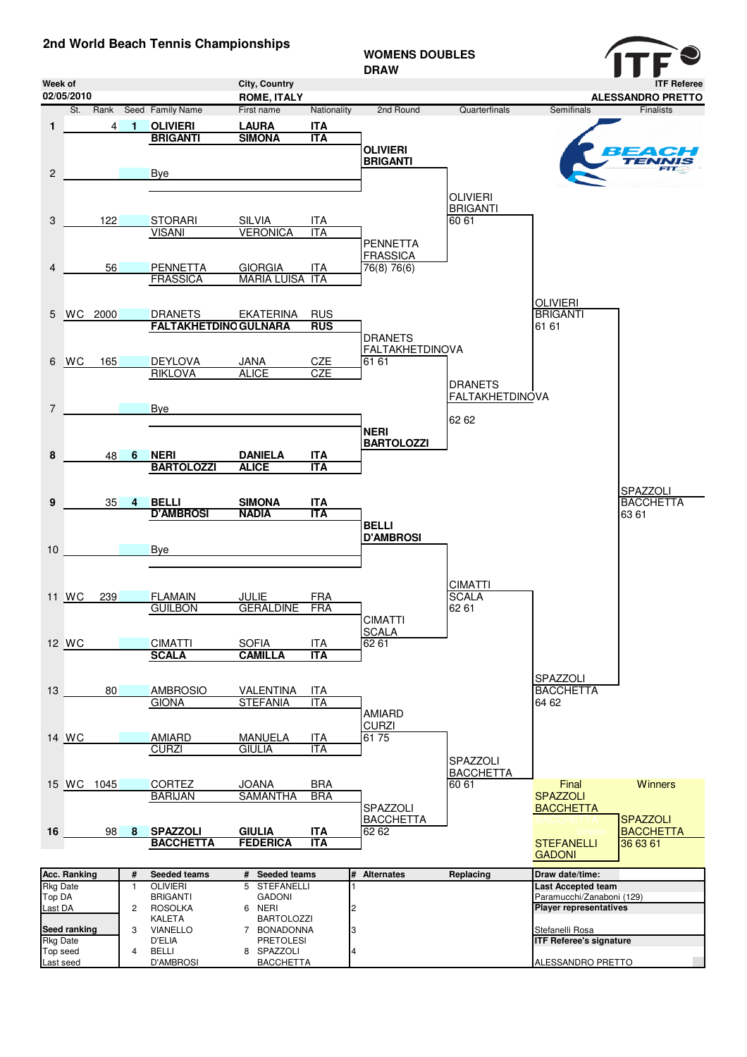## **2nd World Beach Tennis Championships**

| zna world Beach Tennis Championships |                     |                |                |                                     |                                          |                   | <b>WOMENS DOUBLES</b><br><b>DRAW</b> |                        |                                                 |                              |
|--------------------------------------|---------------------|----------------|----------------|-------------------------------------|------------------------------------------|-------------------|--------------------------------------|------------------------|-------------------------------------------------|------------------------------|
| Week of                              |                     |                |                |                                     | City, Country                            |                   |                                      |                        |                                                 | <b>ITF Referee</b>           |
|                                      | 02/05/2010          |                |                |                                     | <b>ROME, ITALY</b>                       |                   |                                      |                        |                                                 | <b>ALESSANDRO PRETTO</b>     |
|                                      |                     |                |                | St. Rank Seed Family Name           | First name                               | Nationality       | 2nd Round                            | Quarterfinals          | Semifinals                                      | <b>Finalists</b>             |
| 1                                    |                     | $\overline{4}$ | $\bullet$      | <b>OLIVIERI</b>                     | <b>LAURA</b>                             | <b>ITA</b>        |                                      |                        |                                                 |                              |
|                                      |                     |                |                | <b>BRIGANTI</b>                     | <b>SIMONA</b>                            | <b>ITA</b>        | <b>OLIVIERI</b>                      |                        |                                                 |                              |
|                                      |                     |                |                |                                     |                                          |                   | <b>BRIGANTI</b>                      |                        |                                                 | 334 CH<br>TENNIS             |
| $\overline{\mathbf{c}}$              |                     |                |                | <b>Bye</b>                          |                                          |                   |                                      |                        |                                                 |                              |
|                                      |                     |                |                |                                     |                                          |                   |                                      |                        |                                                 |                              |
|                                      |                     |                |                |                                     |                                          |                   |                                      | <b>OLIVIERI</b>        |                                                 |                              |
|                                      |                     |                |                |                                     |                                          |                   |                                      | <b>BRIGANTI</b>        |                                                 |                              |
| 3                                    |                     | 122            |                | <b>STORARI</b>                      | <b>SILVIA</b>                            | ITA               |                                      | 60 61                  |                                                 |                              |
|                                      |                     |                |                | <b>VISANI</b>                       | <b>VERONICA</b>                          | <b>ITA</b>        |                                      |                        |                                                 |                              |
|                                      |                     |                |                |                                     |                                          |                   | <b>PENNETTA</b>                      |                        |                                                 |                              |
| 4                                    |                     | 56             |                | <b>PENNETTA</b>                     |                                          | <b>ITA</b>        | <b>FRASSICA</b>                      |                        |                                                 |                              |
|                                      |                     |                |                | <b>FRASSICA</b>                     | <b>GIORGIA</b><br><b>MARIA LUISA ITA</b> |                   | 76(8) 76(6)                          |                        |                                                 |                              |
|                                      |                     |                |                |                                     |                                          |                   |                                      |                        |                                                 |                              |
|                                      |                     |                |                |                                     |                                          |                   |                                      |                        | <b>OLIVIERI</b>                                 |                              |
| 5                                    |                     | WC 2000        |                | <b>DRANETS</b>                      | EKATERINA                                | <b>RUS</b>        |                                      |                        | <b>BRIGANTI</b>                                 |                              |
|                                      |                     |                |                | <b>FALTAKHETDING GULNARA</b>        |                                          | <b>RUS</b>        |                                      |                        | 61 61                                           |                              |
|                                      |                     |                |                |                                     |                                          |                   | <b>DRANETS</b>                       |                        |                                                 |                              |
|                                      |                     |                |                |                                     |                                          |                   | <b>FALTAKHETDINOVA</b>               |                        |                                                 |                              |
|                                      | 6 WC                | 165            |                | <b>DEYLOVA</b>                      | <b>JANA</b>                              | CZE               | 61 61                                |                        |                                                 |                              |
|                                      |                     |                |                | <b>RIKLOVA</b>                      | <b>ALICE</b>                             | <b>CZE</b>        |                                      | <b>DRANETS</b>         |                                                 |                              |
|                                      |                     |                |                |                                     |                                          |                   |                                      | <b>FALTAKHETDINOVA</b> |                                                 |                              |
| 7                                    |                     |                |                | <b>Bye</b>                          |                                          |                   |                                      |                        |                                                 |                              |
|                                      |                     |                |                |                                     |                                          |                   |                                      | 62 62                  |                                                 |                              |
|                                      |                     |                |                |                                     |                                          |                   | <b>NERI</b>                          |                        |                                                 |                              |
|                                      |                     |                |                |                                     |                                          |                   | <b>BARTOLOZZI</b>                    |                        |                                                 |                              |
| 8                                    |                     | 48             | 6              | <b>NERI</b>                         | <b>DANIELA</b>                           | <b>ITA</b>        |                                      |                        |                                                 |                              |
|                                      |                     |                |                | <b>BARTOLOZZI</b>                   | <b>ALICE</b>                             | <b>ITA</b>        |                                      |                        |                                                 |                              |
|                                      |                     |                |                |                                     |                                          |                   |                                      |                        |                                                 |                              |
| 9                                    |                     | 35             | 4              | <b>BELLI</b>                        | <b>SIMONA</b>                            | <b>ITA</b>        |                                      |                        |                                                 | SPAZZOLI<br><b>BACCHETTA</b> |
|                                      |                     |                |                | <b>D'AMBROSI</b>                    | <b>NADIA</b>                             | <b>ITA</b>        |                                      |                        |                                                 | 63 61                        |
|                                      |                     |                |                |                                     |                                          |                   | <b>BELLI</b>                         |                        |                                                 |                              |
|                                      |                     |                |                |                                     |                                          |                   | <b>D'AMBROSI</b>                     |                        |                                                 |                              |
| 10                                   |                     |                |                | <b>Bye</b>                          |                                          |                   |                                      |                        |                                                 |                              |
|                                      |                     |                |                |                                     |                                          |                   |                                      |                        |                                                 |                              |
|                                      |                     |                |                |                                     |                                          |                   |                                      |                        |                                                 |                              |
|                                      |                     |                |                |                                     |                                          |                   |                                      | <b>CIMATTI</b>         |                                                 |                              |
|                                      | 11 WC               | 239            |                | <b>FLAMAIN</b>                      | JULIE                                    | <b>FRA</b>        |                                      | <b>SCALA</b><br>62 61  |                                                 |                              |
|                                      |                     |                |                | <b>GUILBON</b>                      | GERALDINE                                | FRA               | <b>CIMATTI</b>                       |                        |                                                 |                              |
|                                      |                     |                |                |                                     |                                          |                   | <b>SCALA</b>                         |                        |                                                 |                              |
|                                      | 12 WC               |                |                | <b>CIMATTI</b>                      | <b>SOFIA</b>                             | ITA               | 62 61                                |                        |                                                 |                              |
|                                      |                     |                |                | <b>SCALA</b>                        | <b>CAMILLA</b>                           | <b>ITA</b>        |                                      |                        |                                                 |                              |
|                                      |                     |                |                |                                     |                                          |                   |                                      |                        |                                                 |                              |
|                                      |                     |                |                |                                     |                                          |                   |                                      |                        | SPAZZOLI                                        |                              |
| 13                                   |                     | 80             |                | <b>AMBROSIO</b>                     | VALENTINA                                | ITA               |                                      |                        | <b>BACCHETTA</b>                                |                              |
|                                      |                     |                |                | <b>GIONA</b>                        | <b>STEFANIA</b>                          | <b>ITA</b>        |                                      |                        | 64 62                                           |                              |
|                                      |                     |                |                |                                     |                                          |                   | <b>AMIARD</b><br><b>CURZI</b>        |                        |                                                 |                              |
|                                      | 14 WC               |                |                | <b>AMIARD</b>                       | MANUELA                                  | <u>ITA</u>        | 6175                                 |                        |                                                 |                              |
|                                      |                     |                |                | <b>CURZI</b>                        | <b>GIULIA</b>                            | <b>ITA</b>        |                                      |                        |                                                 |                              |
|                                      |                     |                |                |                                     |                                          |                   |                                      | SPAZZOLI               |                                                 |                              |
|                                      |                     |                |                |                                     |                                          |                   |                                      | <b>BACCHETTA</b>       |                                                 |                              |
|                                      |                     | 15 WC 1045     |                | <b>CORTEZ</b>                       | <b>JOANA</b>                             | <b>BRA</b>        |                                      | 60 61                  | Final                                           | <b>Winners</b>               |
|                                      |                     |                |                | <b>BARIJAN</b>                      | <b>SAMANTHA</b>                          | <b>BRA</b>        |                                      |                        | <b>SPAZZOLI</b>                                 |                              |
|                                      |                     |                |                |                                     |                                          |                   | SPAZZOLI                             |                        | <b>BACCHETTA</b>                                |                              |
|                                      |                     |                |                |                                     |                                          |                   | <b>BACCHETTA</b>                     |                        |                                                 | <b>SPAZZOLI</b>              |
| 16                                   |                     | 98             | -8             | <b>SPAZZOLI</b><br><b>BACCHETTA</b> | <b>GIULIA</b><br><b>FEDERICA</b>         | ITA<br><b>ITA</b> | 62 62                                |                        | <b>STEFANELLI</b>                               | <b>BACCHETTA</b><br>36 63 61 |
|                                      |                     |                |                |                                     |                                          |                   |                                      |                        | <b>GADONI</b>                                   |                              |
|                                      |                     |                |                |                                     |                                          |                   |                                      |                        |                                                 |                              |
|                                      | <b>Acc. Ranking</b> |                | #              | Seeded teams                        | # Seeded teams                           |                   | # Alternates                         | Replacing              | Draw date/time:                                 |                              |
| Rkg Date<br>Top DA                   |                     |                | $\mathbf{1}$   | OLIVIERI<br><b>BRIGANTI</b>         | 5 STEFANELLI                             |                   |                                      |                        | Last Accepted team<br>Paramucchi/Zanaboni (129) |                              |
| Last DA                              |                     |                | $\overline{c}$ | <b>ROSOLKA</b>                      | <b>GADONI</b><br>6 NERI                  |                   | 2                                    |                        | <b>Player representatives</b>                   |                              |
|                                      |                     |                |                | KALETA                              | <b>BARTOLOZZI</b>                        |                   |                                      |                        |                                                 |                              |
|                                      | Seed ranking        |                | 3              | <b>VIANELLO</b>                     | 7 BONADONNA                              |                   | 3                                    |                        | Stefanelli Rosa                                 |                              |
| <b>Rkg Date</b>                      |                     |                |                | D'ELIA                              | <b>PRETOLESI</b>                         |                   |                                      |                        | <b>ITF Referee's signature</b>                  |                              |
| Top seed<br>Last seed                |                     |                | 4              | <b>BELLI</b><br><b>D'AMBROSI</b>    | 8 SPAZZOLI<br><b>BACCHETTA</b>           |                   |                                      |                        | ALESSANDRO PRETTO                               |                              |
|                                      |                     |                |                |                                     |                                          |                   |                                      |                        |                                                 |                              |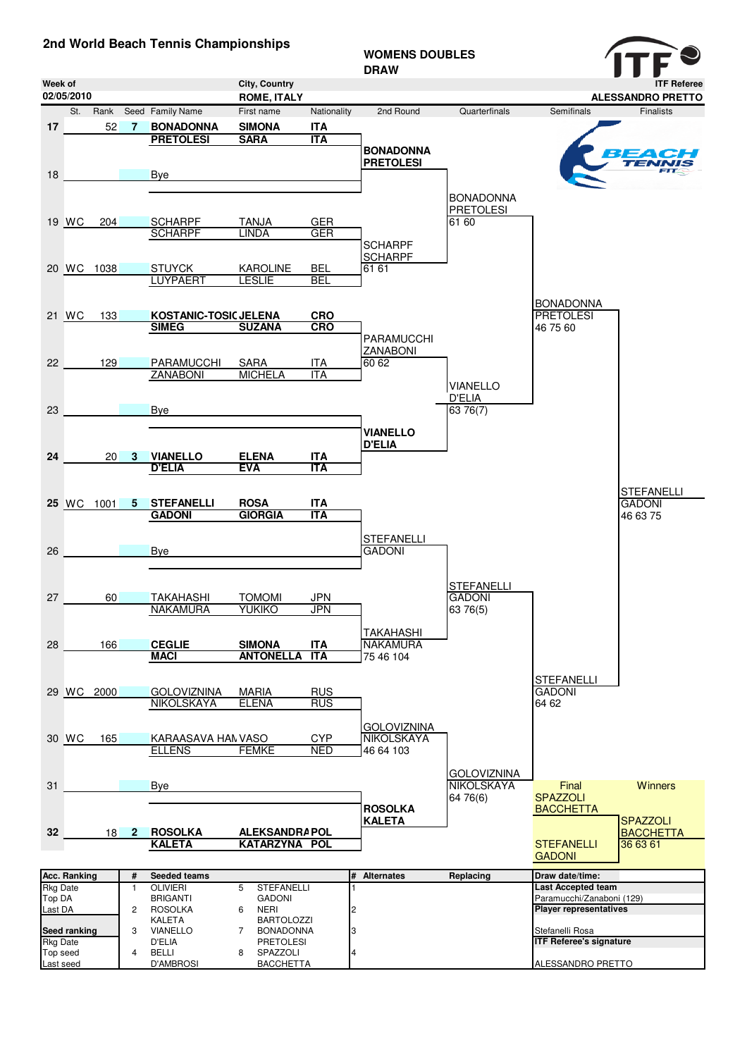## **2nd World Beach Tennis Championships**

## **WOMENS DOUBLES**